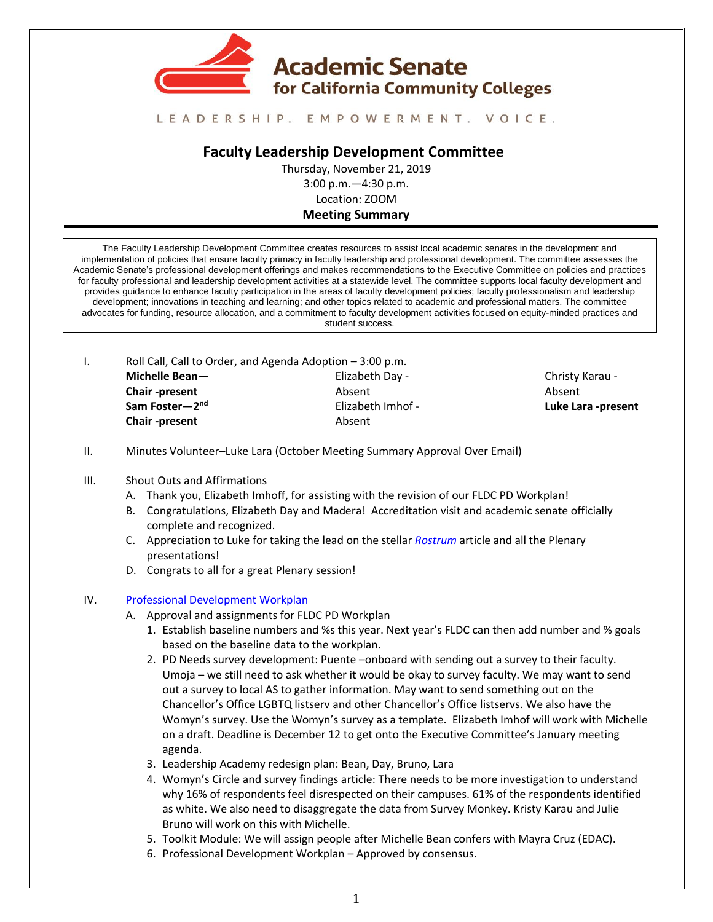

# LEADERSHIP. EMPOWERMENT. VOICE.

# **Faculty Leadership Development Committee**

Thursday, November 21, 2019 3:00 p.m.—4:30 p.m. Location: ZOOM

### **Meeting Summary**

The Faculty Leadership Development Committee creates resources to assist local academic senates in the development and implementation of policies that ensure faculty primacy in faculty leadership and professional development. The committee assesses the Academic Senate's professional development offerings and makes recommendations to the Executive Committee on policies and practices for faculty professional and leadership development activities at a statewide level. The committee supports local faculty development and provides guidance to enhance faculty participation in the areas of faculty development policies; faculty professionalism and leadership development; innovations in teaching and learning; and other topics related to academic and professional matters. The committee advocates for funding, resource allocation, and a commitment to faculty development activities focused on equity-minded practices and student success.

I. Roll Call, Call to Order, and Agenda Adoption – 3:00 p.m. **Michelle Bean— Chair -present Sam Foster—2 nd Chair -present** Elizabeth Day - Absent Elizabeth Imhof - Absent

Christy Karau - Absent **Luke Lara -present**

- II. Minutes Volunteer–Luke Lara (October Meeting Summary Approval Over Email)
- III. Shout Outs and Affirmations
	- A. Thank you, Elizabeth Imhoff, for assisting with the revision of our FLDC PD Workplan!
	- B. Congratulations, Elizabeth Day and Madera! Accreditation visit and academic senate officially complete and recognized.
	- C. Appreciation to Luke for taking the lead on the stellar *[Rostrum](https://asccc.org/sites/default/files/Rostrum-October2019.pdf)* article and all the Plenary presentations!
	- D. Congrats to all for a great Plenary session!

#### IV. [Professional Development Workplan](https://docs.google.com/document/d/1Hoxvb0PTMMxo7r8fNEpNVz3tOrgyOXE2zYdSPhbHeKE/edit?usp=sharing)

- A. Approval and assignments for FLDC PD Workplan
	- 1. Establish baseline numbers and %s this year. Next year's FLDC can then add number and % goals based on the baseline data to the workplan.
	- 2. PD Needs survey development: Puente –onboard with sending out a survey to their faculty. Umoja – we still need to ask whether it would be okay to survey faculty. We may want to send out a survey to local AS to gather information. May want to send something out on the Chancellor's Office LGBTQ listserv and other Chancellor's Office listservs. We also have the Womyn's survey. Use the Womyn's survey as a template. Elizabeth Imhof will work with Michelle on a draft. Deadline is December 12 to get onto the Executive Committee's January meeting agenda.
	- 3. Leadership Academy redesign plan: Bean, Day, Bruno, Lara
	- 4. Womyn's Circle and survey findings article: There needs to be more investigation to understand why 16% of respondents feel disrespected on their campuses. 61% of the respondents identified as white. We also need to disaggregate the data from Survey Monkey. Kristy Karau and Julie Bruno will work on this with Michelle.
	- 5. Toolkit Module: We will assign people after Michelle Bean confers with Mayra Cruz (EDAC).
	- 6. Professional Development Workplan Approved by consensus.
		- 1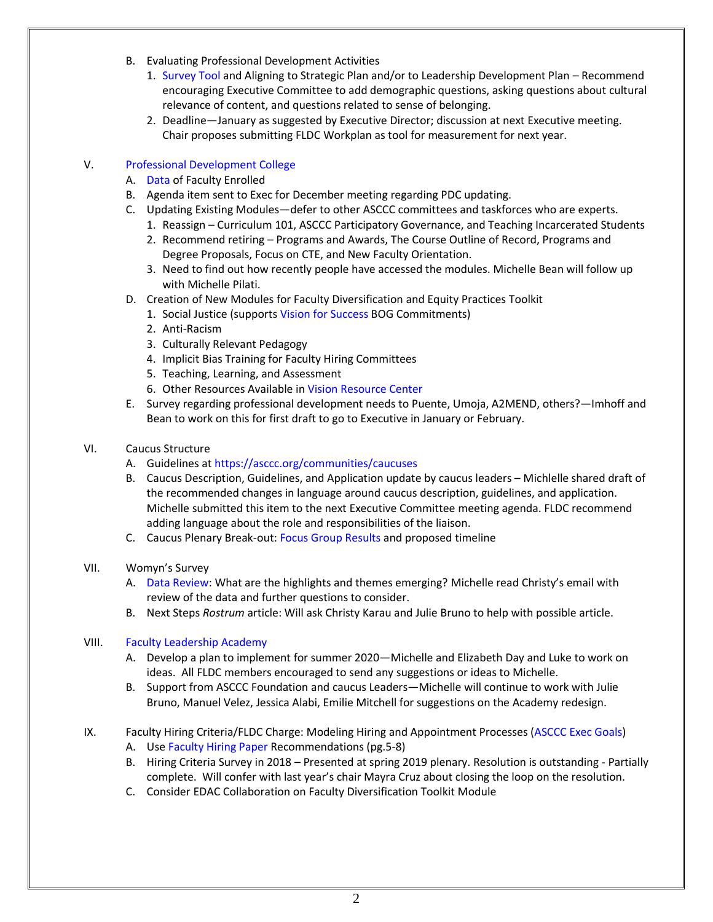- B. Evaluating Professional Development Activities
	- 1. [Survey Tool](https://drive.google.com/file/d/1SEtqgTk68iPrOei5u1MzQ8Oa08mbsSRZ/view?usp=sharing) and Aligning to Strategic Plan and/or to Leadership Development Plan Recommend encouraging Executive Committee to add demographic questions, asking questions about cultural relevance of content, and questions related to sense of belonging.
	- 2. Deadline—January as suggested by Executive Director; discussion at next Executive meeting. Chair proposes submitting FLDC Workplan as tool for measurement for next year.

# V. [Professional Development College](https://asccc.org/pdc-online-courses)

- A. [Data](https://drive.google.com/file/d/1lT7wfhBCB_oKAfNTQWteasIyYgZJCj2K/view?usp=sharing) of Faculty Enrolled
- B. Agenda item sent to Exec for December meeting regarding PDC updating.
- C. Updating Existing Modules—defer to other ASCCC committees and taskforces who are experts.
	- 1. Reassign Curriculum 101, ASCCC Participatory Governance, and Teaching Incarcerated Students
	- 2. Recommend retiring Programs and Awards, The Course Outline of Record, Programs and Degree Proposals, Focus on CTE, and New Faculty Orientation.
	- 3. Need to find out how recently people have accessed the modules. Michelle Bean will follow up with Michelle Pilati.
- D. Creation of New Modules for Faculty Diversification and Equity Practices Toolkit
	- 1. Social Justice (support[s Vision for Success](https://drive.google.com/file/d/10MExnkzfZLcoxy0ksOMVLF7x-Kyo_RSS/view?usp=sharing) BOG Commitments)
	- 2. Anti-Racism
	- 3. Culturally Relevant Pedagogy
	- 4. Implicit Bias Training for Faculty Hiring Committees
	- 5. Teaching, Learning, and Assessment
	- 6. Other Resources Available i[n Vision Resource Center](https://visionresourcecenter.cccco.edu/login/)
- E. Survey regarding professional development needs to Puente, Umoja, A2MEND, others?—Imhoff and Bean to work on this for first draft to go to Executive in January or February.
- VI. Caucus Structure
	- A. Guidelines at <https://asccc.org/communities/caucuses>
	- B. Caucus Description, Guidelines, and Application update by caucus leaders Michlelle shared draft of the recommended changes in language around caucus description, guidelines, and application. Michelle submitted this item to the next Executive Committee meeting agenda. FLDC recommend adding language about the role and responsibilities of the liaison.
	- C. Caucus Plenary Break-out[: Focus Group](https://docs.google.com/document/d/1cXM0wXzrK1_hP2QZx2gGkObdsXK889wHgpR9DIzYjOQ/edit?usp=sharing) Results and proposed timeline
- VII. Womyn's Survey
	- A. [Data Review:](https://docs.google.com/document/d/1Z32Wi-Znj2j-4dqLiAiGmiBYkmleiEZbu3SlufyXssc/edit?usp=sharing) What are the highlights and themes emerging? Michelle read Christy's email with review of the data and further questions to consider.
	- B. Next Steps *Rostrum* article: Will ask Christy Karau and Julie Bruno to help with possible article.

### VIII. [Faculty Leadership Academy](https://drive.google.com/file/d/1L8HtxXj1wLILjUqXF8g12NUXbQvaXBO9/view?usp=sharing)

- A. Develop a plan to implement for summer 2020—Michelle and Elizabeth Day and Luke to work on ideas. All FLDC members encouraged to send any suggestions or ideas to Michelle.
- B. Support from ASCCC Foundation and caucus Leaders—Michelle will continue to work with Julie Bruno, Manuel Velez, Jessica Alabi, Emilie Mitchell for suggestions on the Academy redesign.
- IX. Faculty Hiring Criteria/FLDC Charge: Modeling Hiring and Appointment Processes [\(ASCCC Exec Goals\)](https://drive.google.com/file/d/14442JiksVZ9bSTQSWjCHtlvOISfGf4bx/view?usp=sharing)
	- A. Us[e Faculty Hiring Paper](https://asccc.org/sites/default/files/Hiring_Paper.pdf) Recommendations (pg.5-8)
	- B. Hiring Criteria Survey in 2018 Presented at spring 2019 plenary. Resolution is outstanding Partially complete. Will confer with last year's chair Mayra Cruz about closing the loop on the resolution.
	- C. Consider EDAC Collaboration on Faculty Diversification Toolkit Module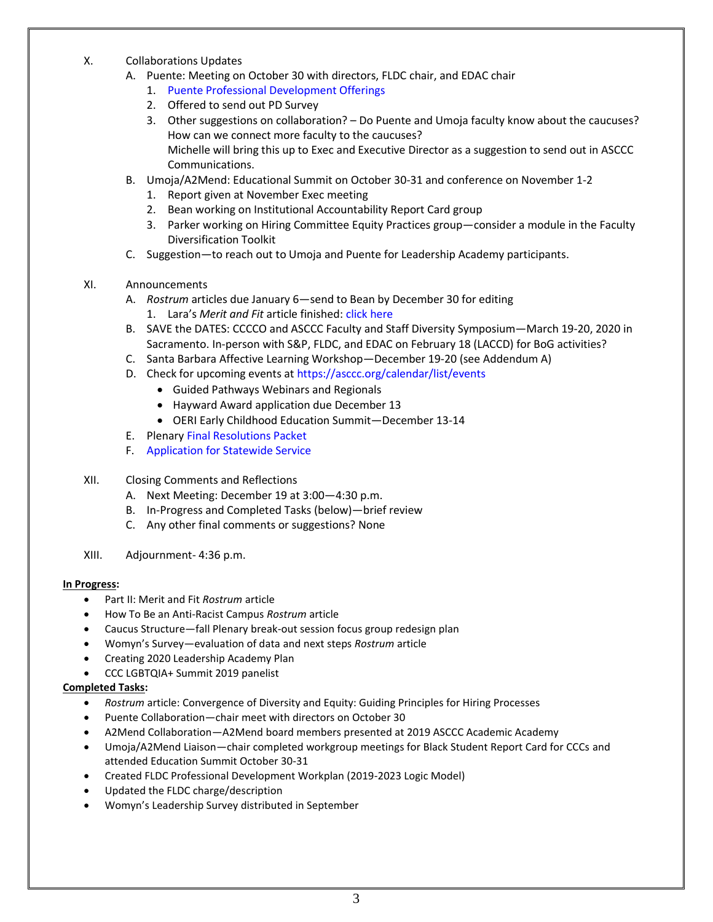- X. Collaborations Updates
	- A. Puente: Meeting on October 30 with directors, FLDC chair, and EDAC chair
		- 1. [Puente Professional Development Offerings](https://drive.google.com/file/d/1sVE780oZgnbel4LI0l2S6X6GaKuNF6gu/view?usp=sharing)
		- 2. Offered to send out PD Survey
		- 3. Other suggestions on collaboration? Do Puente and Umoja faculty know about the caucuses? How can we connect more faculty to the caucuses? Michelle will bring this up to Exec and Executive Director as a suggestion to send out in ASCCC Communications.
	- B. Umoja/A2Mend: Educational Summit on October 30-31 and conference on November 1-2
		- 1. Report given at November Exec meeting
		- 2. Bean working on Institutional Accountability Report Card group
		- 3. Parker working on Hiring Committee Equity Practices group—consider a module in the Faculty Diversification Toolkit
	- C. Suggestion—to reach out to Umoja and Puente for Leadership Academy participants.
- XI. Announcements
	- A. *Rostrum* articles due January 6—send to Bean by December 30 for editing
		- 1. Lara's *Merit and Fit* article finished: [click here](https://drive.google.com/file/d/1_iiIErmBHG4ZV6GMRGmn5WBd3T8oCKks/view?usp=sharing)
	- B. SAVE the DATES: CCCCO and ASCCC Faculty and Staff Diversity Symposium—March 19-20, 2020 in Sacramento. In-person with S&P, FLDC, and EDAC on February 18 (LACCD) for BoG activities?
	- C. Santa Barbara Affective Learning Workshop—December 19-20 (see Addendum A)
	- D. Check for upcoming events at<https://asccc.org/calendar/list/events>
		- Guided Pathways Webinars and Regionals
		- Hayward Award application due December 13
		- OERI Early Childhood Education Summit—December 13-14
	- E. Plenar[y Final Resolutions Packet](https://drive.google.com/file/d/1bpNGSj0v6z5X2xP6dntX6d9GVeefAIgu/view?usp=sharing)
	- F. [Application for Statewide Service](http://asccc.org/content/application-statewide-service)
- XII. Closing Comments and Reflections
	- A. Next Meeting: December 19 at 3:00—4:30 p.m.
	- B. In-Progress and Completed Tasks (below)—brief review
	- C. Any other final comments or suggestions? None
- XIII. Adjournment- 4:36 p.m.

### **In Progress:**

- Part II: Merit and Fit *Rostrum* article
- How To Be an Anti-Racist Campus *Rostrum* article
- Caucus Structure—fall Plenary break-out session focus group redesign plan
- Womyn's Survey—evaluation of data and next steps *Rostrum* article
- Creating 2020 Leadership Academy Plan
- CCC LGBTQIA+ Summit 2019 panelist

### **Completed Tasks:**

- *Rostrum* article: Convergence of Diversity and Equity: Guiding Principles for Hiring Processes
- Puente Collaboration—chair meet with directors on October 30
- A2Mend Collaboration—A2Mend board members presented at 2019 ASCCC Academic Academy
- Umoja/A2Mend Liaison—chair completed workgroup meetings for Black Student Report Card for CCCs and attended Education Summit October 30-31
- Created FLDC Professional Development Workplan (2019-2023 Logic Model)
- Updated the FLDC charge/description
- Womyn's Leadership Survey distributed in September